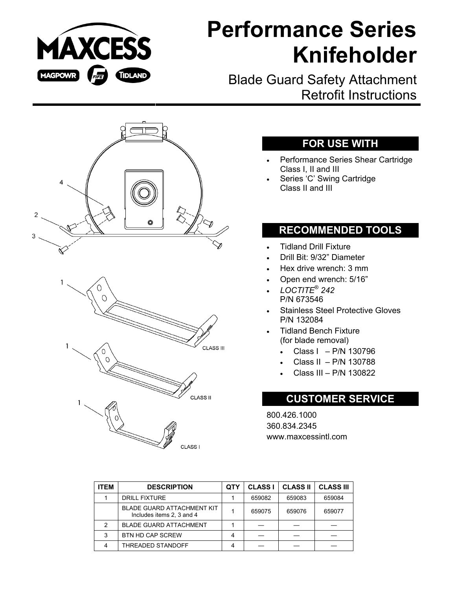

# **Performance Series Knifeholder**

Blade Guard Safety Attachment Retrofit Instructions



### **FOR USE WITH**

- Performance Series Shear Cartridge Class I, II and III
- Series 'C' Swing Cartridge Class II and III

### **RECOMMENDED TOOLS**

- Tidland Drill Fixture
- Drill Bit: 9/32" Diameter
- Hex drive wrench: 3 mm
- Open end wrench: 5/16"
- *LOCTITE*® *242*  P/N 673546
- Stainless Steel Protective Gloves P/N 132084
- Tidland Bench Fixture (for blade removal)
	- Class I P/N 130796
	- Class II P/N 130788
	- Class III P/N 130822

#### **CUSTOMER SERVICE**

800.426.1000 360.834.2345 www.maxcessintl.com

| <b>ITEM</b> | <b>DESCRIPTION</b>                                             | QTY | <b>CLASS I</b> | <b>CLASS II</b> | <b>CLASS III</b> |
|-------------|----------------------------------------------------------------|-----|----------------|-----------------|------------------|
|             | <b>DRILL FIXTURE</b>                                           |     | 659082         | 659083          | 659084           |
|             | <b>BLADE GUARD ATTACHMENT KIT</b><br>Includes items 2, 3 and 4 |     | 659075         | 659076          | 659077           |
| 2           | <b>BLADE GUARD ATTACHMENT</b>                                  |     |                |                 |                  |
| 3           | <b>BTN HD CAP SCREW</b>                                        |     |                |                 |                  |
|             | THREADED STANDOFF                                              |     |                |                 |                  |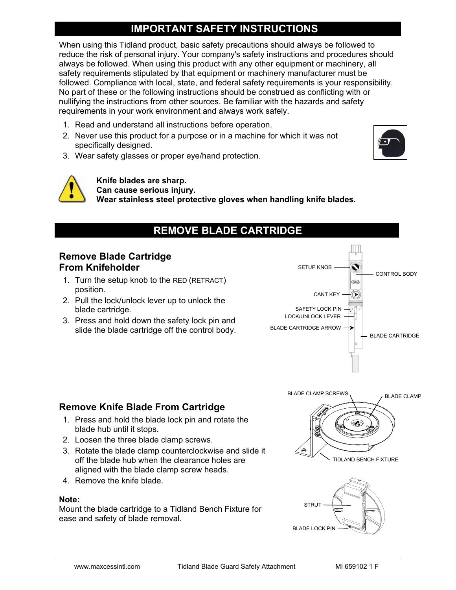# **IMPORTANT SAFETY INSTRUCTIONS**

When using this Tidland product, basic safety precautions should always be followed to reduce the risk of personal injury. Your company's safety instructions and procedures should always be followed. When using this product with any other equipment or machinery, all safety requirements stipulated by that equipment or machinery manufacturer must be followed. Compliance with local, state, and federal safety requirements is your responsibility. No part of these or the following instructions should be construed as conflicting with or nullifying the instructions from other sources. Be familiar with the hazards and safety requirements in your work environment and always work safely.

- 1. Read and understand all instructions before operation.
- 2. Never use this product for a purpose or in a machine for which it was not specifically designed.
- 3. Wear safety glasses or proper eye/hand protection.





**Knife blades are sharp. Can cause serious injury. Wear stainless steel protective gloves when handling knife blades.** 

# **REMOVE BLADE CARTRIDGE**

#### **Remove Blade Cartridge From Knifeholder**

- 1. Turn the setup knob to the RED (RETRACT) position.
- 2. Pull the lock/unlock lever up to unlock the blade cartridge.
- 3. Press and hold down the safety lock pin and slide the blade cartridge off the control body.



#### **Remove Knife Blade From Cartridge**

- 1. Press and hold the blade lock pin and rotate the blade hub until it stops.
- 2. Loosen the three blade clamp screws.
- 3. Rotate the blade clamp counterclockwise and slide it off the blade hub when the clearance holes are aligned with the blade clamp screw heads.
- 4. Remove the knife blade.

#### **Note:**

Mount the blade cartridge to a Tidland Bench Fixture for ease and safety of blade removal.



BLADE LOCK PIN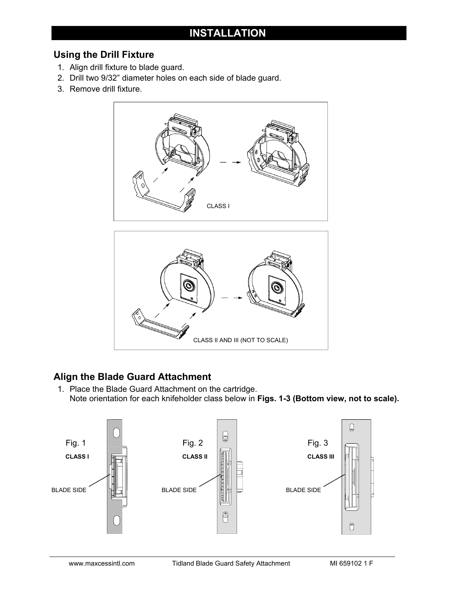# **INSTALLATION**

#### **Using the Drill Fixture**

- 1. Align drill fixture to blade guard.
- 2. Drill two 9/32" diameter holes on each side of blade guard.
- 3. Remove drill fixture.



# **Align the Blade Guard Attachment**

1. Place the Blade Guard Attachment on the cartridge. Note orientation for each knifeholder class below in **Figs. 1-3 (Bottom view, not to scale).**